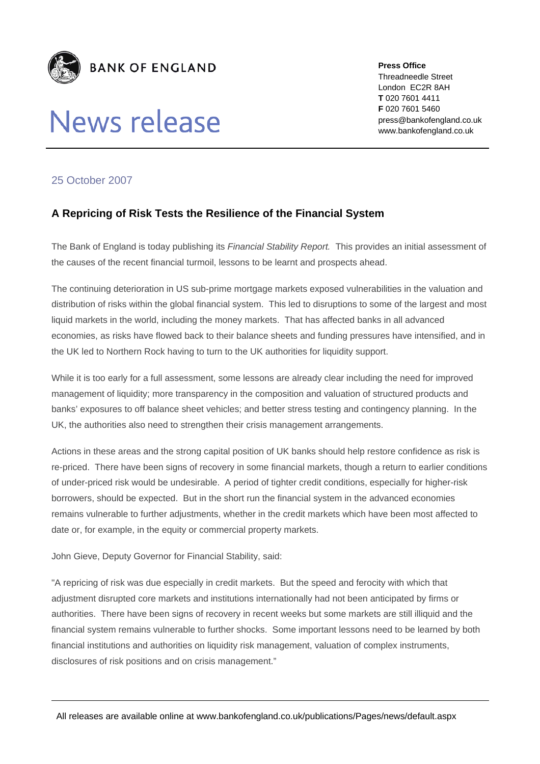

## **News release**

**Press Office**  Threadneedle Street London EC2R 8AH **T** 020 7601 4411 **F** 020 7601 5460 press@bankofengland.co.uk www.bankofengland.co.uk

## 25 October 2007

## **A Repricing of Risk Tests the Resilience of the Financial System**

The Bank of England is today publishing its *Financial Stability Report.* This provides an initial assessment of the causes of the recent financial turmoil, lessons to be learnt and prospects ahead.

The continuing deterioration in US sub-prime mortgage markets exposed vulnerabilities in the valuation and distribution of risks within the global financial system. This led to disruptions to some of the largest and most liquid markets in the world, including the money markets. That has affected banks in all advanced economies, as risks have flowed back to their balance sheets and funding pressures have intensified, and in the UK led to Northern Rock having to turn to the UK authorities for liquidity support.

While it is too early for a full assessment, some lessons are already clear including the need for improved management of liquidity; more transparency in the composition and valuation of structured products and banks' exposures to off balance sheet vehicles; and better stress testing and contingency planning. In the UK, the authorities also need to strengthen their crisis management arrangements.

Actions in these areas and the strong capital position of UK banks should help restore confidence as risk is re-priced. There have been signs of recovery in some financial markets, though a return to earlier conditions of under-priced risk would be undesirable. A period of tighter credit conditions, especially for higher-risk borrowers, should be expected. But in the short run the financial system in the advanced economies remains vulnerable to further adjustments, whether in the credit markets which have been most affected to date or, for example, in the equity or commercial property markets.

John Gieve, Deputy Governor for Financial Stability, said:

"A repricing of risk was due especially in credit markets. But the speed and ferocity with which that adjustment disrupted core markets and institutions internationally had not been anticipated by firms or authorities. There have been signs of recovery in recent weeks but some markets are still illiquid and the financial system remains vulnerable to further shocks. Some important lessons need to be learned by both financial institutions and authorities on liquidity risk management, valuation of complex instruments, disclosures of risk positions and on crisis management."